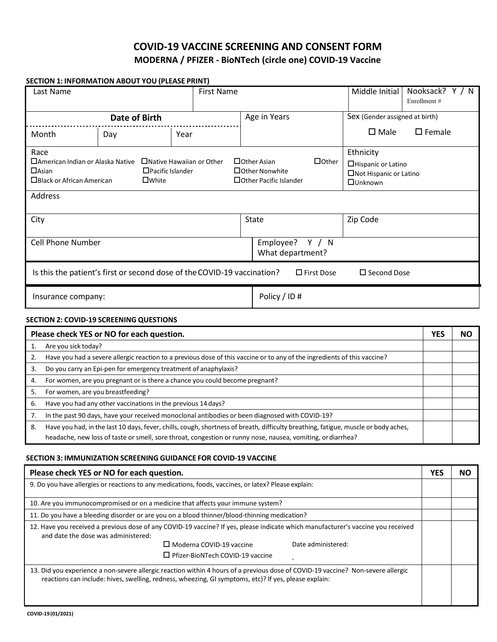# **COVID-19 VACCINE SCREENING AND CONSENT FORM MODERNA / PFIZER - BioNTech (circle one) COVID-19 Vaccine**

## **SECTION 1: INFORMATION ABOUT YOU (PLEASE PRINT)**

| Last Name                                                                                                             |                                            | <b>First Name</b>               |                                                                                                                                                                 | Middle Initial                 | Nooksack? $Y / N$<br>Enrollment # |  |  |
|-----------------------------------------------------------------------------------------------------------------------|--------------------------------------------|---------------------------------|-----------------------------------------------------------------------------------------------------------------------------------------------------------------|--------------------------------|-----------------------------------|--|--|
| <b>Date of Birth</b>                                                                                                  |                                            |                                 | Age in Years                                                                                                                                                    | Sex (Gender assigned at birth) |                                   |  |  |
| Month                                                                                                                 | Day                                        | Year                            |                                                                                                                                                                 | $\square$ Male                 | $\square$ Female                  |  |  |
| Race<br>□ American Indian or Alaska Native<br>$\Box$ Asian<br>$\Box$ Black or African American                        | $\Box$ Pacific Islander<br>$\square$ White | $\Box$ Native Hawaiian or Other | Ethnicity<br>$\Box$ Other<br>□ Other Asian<br>□Hispanic or Latino<br>□ Other Nonwhite<br>□Not Hispanic or Latino<br>□ Other Pacific Islander<br><b>Ounknown</b> |                                |                                   |  |  |
| Address                                                                                                               |                                            |                                 |                                                                                                                                                                 |                                |                                   |  |  |
| City                                                                                                                  |                                            |                                 | State<br>Zip Code                                                                                                                                               |                                |                                   |  |  |
| <b>Cell Phone Number</b>                                                                                              |                                            |                                 | Employee?<br>Y / N<br>What department?                                                                                                                          |                                |                                   |  |  |
| Is this the patient's first or second dose of the COVID-19 vaccination?<br>$\Box$ First Dose<br>$\square$ Second Dose |                                            |                                 |                                                                                                                                                                 |                                |                                   |  |  |
| Insurance company:                                                                                                    |                                            |                                 | Policy / ID #                                                                                                                                                   |                                |                                   |  |  |

## **SECTION 2: COVID-19 SCREENING QUESTIONS**

| Please check YES or NO for each question. |                                                                                                                                    |  | NΟ |
|-------------------------------------------|------------------------------------------------------------------------------------------------------------------------------------|--|----|
|                                           | Are you sick today?                                                                                                                |  |    |
|                                           | Have you had a severe allergic reaction to a previous dose of this vaccine or to any of the ingredients of this vaccine?           |  |    |
| 3.                                        | Do you carry an Epi-pen for emergency treatment of anaphylaxis?                                                                    |  |    |
| 4.                                        | For women, are you pregnant or is there a chance you could become pregnant?                                                        |  |    |
| 5.                                        | For women, are you breastfeeding?                                                                                                  |  |    |
| 6.                                        | Have you had any other vaccinations in the previous 14 days?                                                                       |  |    |
|                                           | In the past 90 days, have your received monoclonal antibodies or been diagnosed with COVID-19?                                     |  |    |
| 8.                                        | Have you had, in the last 10 days, fever, chills, cough, shortness of breath, difficulty breathing, fatigue, muscle or body aches, |  |    |
|                                           | headache, new loss of taste or smell, sore throat, congestion or runny nose, nausea, vomiting, or diarrhea?                        |  |    |

### **SECTION 3: IMMUNIZATION SCREENING GUIDANCE FOR COVID-19 VACCINE**

| Please check YES or NO for each question.                                                                                                                                                                                                 | <b>YES</b> | NO |  |  |
|-------------------------------------------------------------------------------------------------------------------------------------------------------------------------------------------------------------------------------------------|------------|----|--|--|
| 9. Do you have allergies or reactions to any medications, foods, vaccines, or latex? Please explain:                                                                                                                                      |            |    |  |  |
| 10. Are you immunocompromised or on a medicine that affects your immune system?                                                                                                                                                           |            |    |  |  |
| 11. Do you have a bleeding disorder or are you on a blood thinner/blood-thinning medication?                                                                                                                                              |            |    |  |  |
| 12. Have you received a previous dose of any COVID-19 vaccine? If yes, please indicate which manufacturer's vaccine you received<br>and date the dose was administered:                                                                   |            |    |  |  |
| $\Box$ Moderna COVID-19 vaccine<br>Date administered:                                                                                                                                                                                     |            |    |  |  |
| $\Box$ Pfizer-BioNTech COVID-19 vaccine                                                                                                                                                                                                   |            |    |  |  |
| 13. Did you experience a non-severe allergic reaction within 4 hours of a previous dose of COVID-19 vaccine? Non-severe allergic<br>reactions can include: hives, swelling, redness, wheezing, GI symptoms, etc)? If yes, please explain: |            |    |  |  |